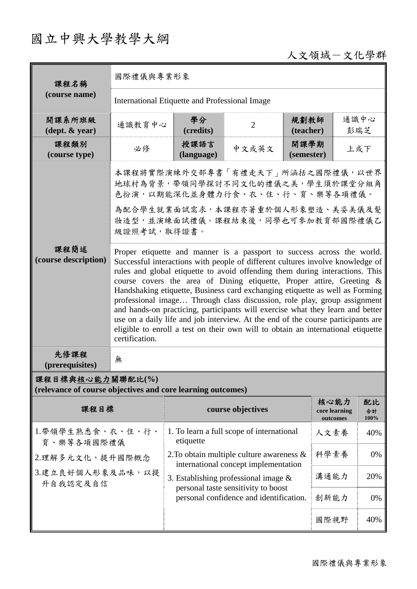## 國立中興大學教學大綱

## 人文領域-文化學群

| 課程名稱                                                                            | 國際禮儀與專業形象                                                                                                                                                                                                                                                                                                                                                                                                                                                                                                                                                                                                                                                                                                                                                 |                                                                                                                                                |                   |                    |                                   |                  |  |
|---------------------------------------------------------------------------------|-----------------------------------------------------------------------------------------------------------------------------------------------------------------------------------------------------------------------------------------------------------------------------------------------------------------------------------------------------------------------------------------------------------------------------------------------------------------------------------------------------------------------------------------------------------------------------------------------------------------------------------------------------------------------------------------------------------------------------------------------------------|------------------------------------------------------------------------------------------------------------------------------------------------|-------------------|--------------------|-----------------------------------|------------------|--|
| (course name)                                                                   | International Etiquette and Professional Image                                                                                                                                                                                                                                                                                                                                                                                                                                                                                                                                                                                                                                                                                                            |                                                                                                                                                |                   |                    |                                   |                  |  |
| 開課系所班級<br>$(\text{dept.} \& \text{ year})$                                      | 通識教育中心                                                                                                                                                                                                                                                                                                                                                                                                                                                                                                                                                                                                                                                                                                                                                    | 學分<br>(credits)                                                                                                                                | $\overline{2}$    | 規劃教師<br>(teacher)  |                                   | 通識中心<br>彭瑞芝      |  |
| 課程類別<br>(course type)                                                           | 必修                                                                                                                                                                                                                                                                                                                                                                                                                                                                                                                                                                                                                                                                                                                                                        | 授課語言<br>(language)                                                                                                                             | 中文或英文             | 開課學期<br>(semester) |                                   | 上或下              |  |
|                                                                                 | 本課程將實際演練外交部專書「有禮走天下」所涵括之國際禮儀,以世界<br>地球村為背景,帶領同學探討不同文化的禮儀之美,學生須於課堂分組角<br>色扮演,以期能深化並身體力行食、衣、住、行、育、樂等各項禮儀。                                                                                                                                                                                                                                                                                                                                                                                                                                                                                                                                                                                                                                                   |                                                                                                                                                |                   |                    |                                   |                  |  |
|                                                                                 | 為配合學生就業面試需求,本課程亦著重於個人形象塑造、美姿美儀及髮<br>妝造型,並演練面試禮儀。課程結束後,同學也可參加教育部國際禮儀乙<br>級證照考試,取得證書。                                                                                                                                                                                                                                                                                                                                                                                                                                                                                                                                                                                                                                                                       |                                                                                                                                                |                   |                    |                                   |                  |  |
| 課程簡述<br>(course description)                                                    | Proper etiquette and manner is a passport to success across the world.<br>Successful interactions with people of different cultures involve knowledge of<br>rules and global etiquette to avoid offending them during interactions. This<br>course covers the area of Dining etiquette, Proper attire, Greeting &<br>Handshaking etiquette, Business card exchanging etiquette as well as Forming<br>professional image Through class discussion, role play, group assignment<br>and hands-on practicing, participants will exercise what they learn and better<br>use on a daily life and job interview. At the end of the course participants are<br>eligible to enroll a test on their own will to obtain an international etiquette<br>certification. |                                                                                                                                                |                   |                    |                                   |                  |  |
| 先修課程<br>(prerequisites)                                                         | 無                                                                                                                                                                                                                                                                                                                                                                                                                                                                                                                                                                                                                                                                                                                                                         |                                                                                                                                                |                   |                    |                                   |                  |  |
| 課程目標與核心能力關聯配比(%)<br>(relevance of course objectives and core learning outcomes) |                                                                                                                                                                                                                                                                                                                                                                                                                                                                                                                                                                                                                                                                                                                                                           |                                                                                                                                                |                   |                    |                                   |                  |  |
| 課程目標                                                                            |                                                                                                                                                                                                                                                                                                                                                                                                                                                                                                                                                                                                                                                                                                                                                           |                                                                                                                                                | course objectives |                    | 核心能力<br>core learning<br>outcomes | 配比<br>合計<br>100% |  |
| 1.帶領學生熟悉食、衣、住、行、<br>育、樂等各項國際禮儀                                                  |                                                                                                                                                                                                                                                                                                                                                                                                                                                                                                                                                                                                                                                                                                                                                           | 1. To learn a full scope of international<br>etiquette<br>2. To obtain multiple culture awareness $\&$<br>international concept implementation |                   | 人文素養               | 40%                               |                  |  |
| 2.理解多元文化,提升國際概念                                                                 |                                                                                                                                                                                                                                                                                                                                                                                                                                                                                                                                                                                                                                                                                                                                                           |                                                                                                                                                |                   | 科學素養               | 0%                                |                  |  |
| 3.建立良好個人形象及品味,以提<br>升自我認定及自信                                                    |                                                                                                                                                                                                                                                                                                                                                                                                                                                                                                                                                                                                                                                                                                                                                           | 3. Establishing professional image $\&$<br>personal taste sensitivity to boost<br>personal confidence and identification.                      |                   |                    | 溝通能力                              | 20%              |  |
|                                                                                 |                                                                                                                                                                                                                                                                                                                                                                                                                                                                                                                                                                                                                                                                                                                                                           |                                                                                                                                                |                   |                    | 創新能力                              | 0%               |  |
|                                                                                 |                                                                                                                                                                                                                                                                                                                                                                                                                                                                                                                                                                                                                                                                                                                                                           |                                                                                                                                                |                   |                    | 國際視野                              | 40%              |  |